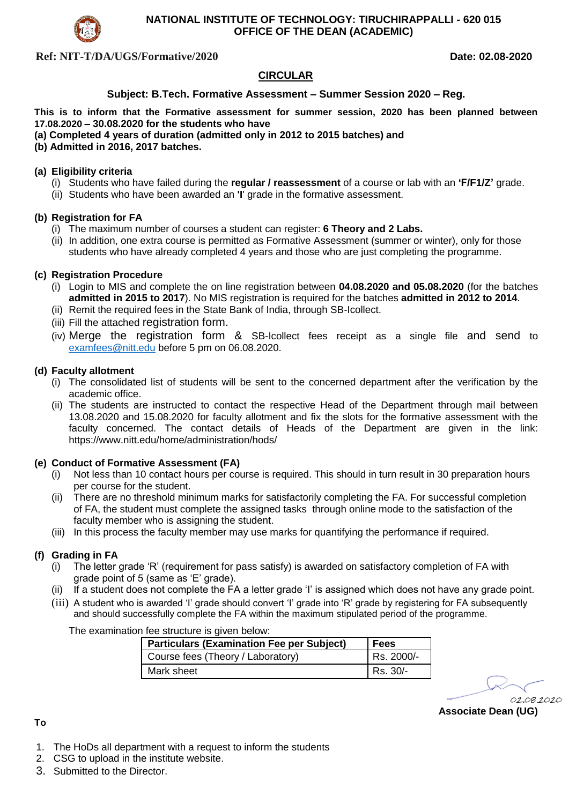

### **NATIONAL INSTITUTE OF TECHNOLOGY: TIRUCHIRAPPALLI - 620 015 OFFICE OF THE DEAN (ACADEMIC)**

## **Ref: NIT-T/DA/UGS/Formative/2020 Date: 02.08-2020**

## **CIRCULAR**

### **Subject: B.Tech. Formative Assessment – Summer Session 2020 – Reg.**

**This is to inform that the Formative assessment for summer session, 2020 has been planned between 17.08.2020 – 30.08.2020 for the students who have** 

- **(a) Completed 4 years of duration (admitted only in 2012 to 2015 batches) and**
- **(b) Admitted in 2016, 2017 batches.**

#### **(a) Eligibility criteria**

- (i) Students who have failed during the **regular / reassessment** of a course or lab with an **'F/F1/Z'** grade.
- (ii) Students who have been awarded an **'I**' grade in the formative assessment.

#### **(b) Registration for FA**

- (i) The maximum number of courses a student can register: **6 Theory and 2 Labs.**
- (ii) In addition, one extra course is permitted as Formative Assessment (summer or winter), only for those students who have already completed 4 years and those who are just completing the programme.

#### **(c) Registration Procedure**

- (i) Login to MIS and complete the on line registration between **04.08.2020 and 05.08.2020** (for the batches **admitted in 2015 to 2017**). No MIS registration is required for the batches **admitted in 2012 to 2014**.
- (ii) Remit the required fees in the State Bank of India, through SB-Icollect.
- (iii) Fill the attached registration form.
- (iv) Merge the registration form & SB-Icollect fees receipt as a single file and send to [examfees@nitt.edu](mailto:examfees@nitt.edu) before 5 pm on 06.08.2020.

#### **(d) Faculty allotment**

- (i) The consolidated list of students will be sent to the concerned department after the verification by the academic office.
- (ii) The students are instructed to contact the respective Head of the Department through mail between 13.08.2020 and 15.08.2020 for faculty allotment and fix the slots for the formative assessment with the faculty concerned. The contact details of Heads of the Department are given in the link: https://www.nitt.edu/home/administration/hods/

#### **(e) Conduct of Formative Assessment (FA)**

- (i) Not less than 10 contact hours per course is required. This should in turn result in 30 preparation hours per course for the student.
- (ii) There are no threshold minimum marks for satisfactorily completing the FA. For successful completion of FA, the student must complete the assigned tasks through online mode to the satisfaction of the faculty member who is assigning the student.
- (iii) In this process the faculty member may use marks for quantifying the performance if required.

#### **(f) Grading in FA**

- (i) The letter grade 'R' (requirement for pass satisfy) is awarded on satisfactory completion of FA with grade point of 5 (same as 'E' grade).
- (ii) If a student does not complete the FA a letter grade 'I' is assigned which does not have any grade point.
- (iii) A student who is awarded 'I' grade should convert 'I' grade into 'R' grade by registering for FA subsequently and should successfully complete the FA within the maximum stipulated period of the programme.

The examination fee structure is given below:

| <b>Particulars (Examination Fee per Subject)</b> | l Fees     |
|--------------------------------------------------|------------|
| Course fees (Theory / Laboratory)                | Rs. 2000/- |
| Mark sheet                                       | Rs. 30/-   |

02.08.2020

**Associate Dean (UG)** 

**To**

- 1. The HoDs all department with a request to inform the students
- 2. CSG to upload in the institute website.
- 3. Submitted to the Director.